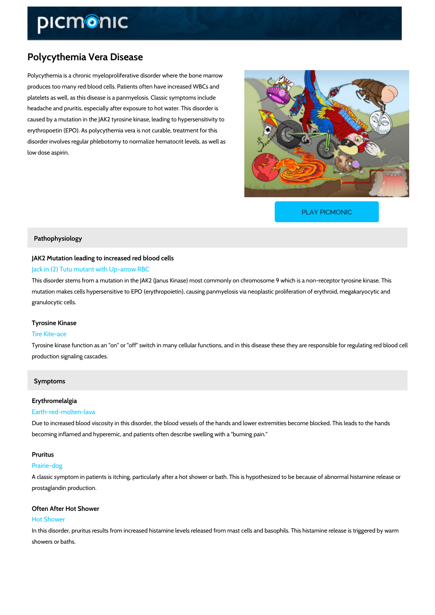# Polycythemia Vera Disease

Polycythemia is a chronic myeloproliferative disorder where the bone marrow produces too many red blood cells. Patients often have increased WBCs and platelets as well, as this disease is a panmyelosis. Classic symptoms include headache and pruritis, especially after exposure to hot water. This disorder is caused by a mutation in the JAK2 tyrosine kinase, leading to hypersensitivity to erythropoetin (EPO). As polycythemia vera is not curable, treatment for this disorder involves regular phlebotomy to normalize hematocrit levels, as well as low dose aspirin.

[PLAY PICMONIC](https://www.picmonic.com/learn/polycythemia-vera-disease_1316?utm_source=downloadable_content&utm_medium=distributedcontent&utm_campaign=pathways_pdf&utm_content=Polycythemia Vera Disease&utm_ad_group=leads&utm_market=all)

#### Pathophysiology

# JAK2 Mutation leading to increased red blood cells Jack in (2) Tutu mutant with Up-arrow RBC

This disorder stems from a mutation in the JAK2 (Janus Kinase) most commonly on chromosom mutation makes cells hypersensitive to EPO (erythropoietin), causing panmyelosis via neoplas granulocytic cells.

# Tyrosine Kinase

### Tire Kite-ace

Tyrosine kinase function as an "on" or "off" switch in many cellular functions, and in this dise production signaling cascades.

### Symptoms

#### Erythromelalgia

#### Earth-red-molten-lava

Due to increased blood viscosity in this disorder, the blood vessels of the hands and lower ex becoming inflamed and hyperemic, and patients often describe swelling with a "burning pain."

#### Pruritus

#### Prairie-dog

A classic symptom in patients is itching, particularly after a hot shower or bath. This is hypot prostaglandin production.

### Often After Hot Shower

#### Hot Shower

In this disorder, pruritus results from increased histamine levels released from mast cells and showers or baths.